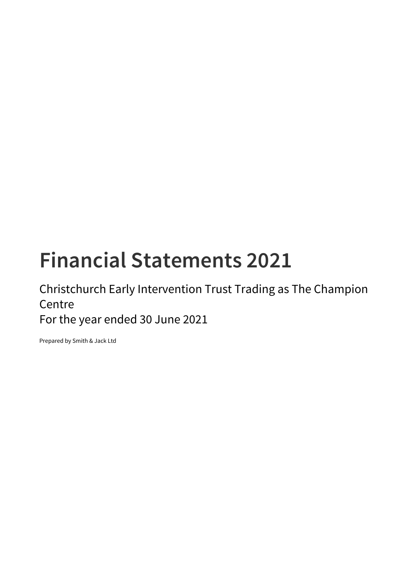# **Financial Statements 2021**

Christchurch Early Intervention Trust Trading as The Champion Centre

For the year ended 30 June 2021

Prepared by Smith & Jack Ltd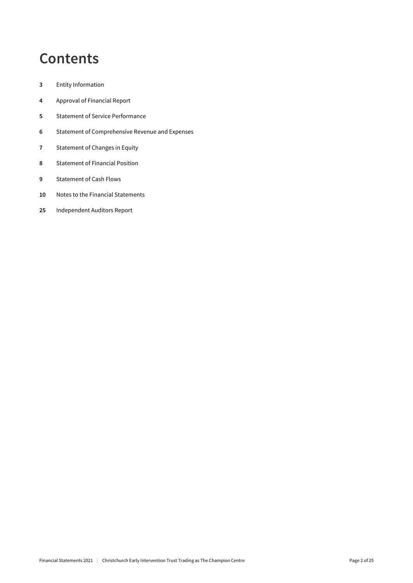## **Contents**

- Entity Information
- Approval of Financial Report
- Statement of Service Performance
- Statement of Comprehensive Revenue and Expenses
- Statement of Changes in Equity
- Statement of Financial Position
- Statement of Cash Flows
- Notes to the Financial Statements
- Independent Auditors Report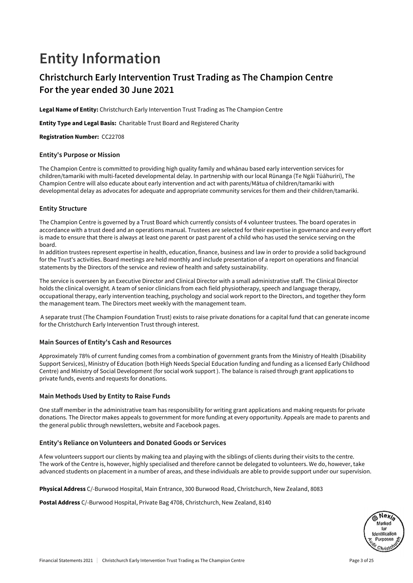## **Entity Information**

### **Christchurch Early Intervention Trust Trading as The Champion Centre For the year ended 30 June 2021**

Legal Name of Entity: Christchurch Early Intervention Trust Trading as The Champion Centre

Entity Type and Legal Basis: Charitable Trust Board and Registered Charity

Registration Number: CC22708

#### **Entity's Purpose or Mission**

The Champion Centre is committed to providing high quality family and whānau based early intervention services for children/tamariki with multi-faceted developmental delay. In partnership with our local Rūnanga (Te Ngāi Tūāhuriri), The Champion Centre will also educate about early intervention and act with parents/Mātua of children/tamariki with developmental delay as advocates for adequate and appropriate community services for them and their children/tamariki.

#### **Entity Structure**

The Champion Centre is governed by a Trust Board which currently consists of 4 volunteer trustees. The board operates in accordance with a trust deed and an operations manual. Trustees are selected for their expertise in governance and every effort is made to ensure that there is always at least one parent or past parent of a child who has used the service serving on the board.

In addition trustees represent expertise in health, education, finance, business and law in order to provide a solid background for the Trust's activities. Board meetings are held monthly and include presentation of a report on operations and financial statements by the Directors of the service and review of health and safety sustainability.

The service is overseen by an Executive Director and Clinical Director with a small administrative staff. The Clinical Director holds the clinical oversight. A team of senior clinicians from each field physiotherapy, speech and language therapy, occupational therapy, early intervention teaching, psychology and social work report to the Directors, and together they form the management team. The Directors meet weekly with the management team.

 A separate trust (The Champion Foundation Trust) exists to raise private donations for a capital fund that can generate income for the Christchurch Early Intervention Trust through interest.

#### **Main Sources of Entity's Cash and Resources**

Approximately 78% of current funding comes from a combination of government grants from the Ministry of Health (Disability Support Services), Ministry of Education (both High Needs Special Education funding and funding as a licensed Early Childhood Centre) and Ministry of Social Development (for social work support ). The balance is raised through grant applications to private funds, events and requests for donations.

#### **Main Methods Used by Entity to Raise Funds**

One staff member in the administrative team has responsibility for writing grant applications and making requests for private donations. The Director makes appeals to government for more funding at every opportunity. Appeals are made to parents and the general public through newsletters, website and Facebook pages.

#### **Entity's Reliance on Volunteers and Donated Goods or Services**

A few volunteers support our clients by making tea and playing with the siblings of clients during their visits to the centre. The work of the Centre is, however, highly specialised and therefore cannot be delegated to volunteers. We do, however, take advanced students on placement in a number of areas, and these individuals are able to provide support under our supervision.

Physical Address C/-Burwood Hospital, Main Entrance, 300 Burwood Road, Christchurch, New Zealand, 8083

Postal Address C/-Burwood Hospital, Private Bag 4708, Christchurch, New Zealand, 8140

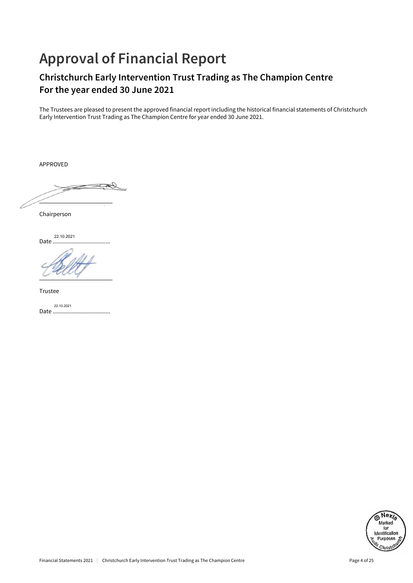## **Approval of Financial Report**

## **Christchurch Early Intervention Trust Trading as The Champion Centre For the year ended 30 June 2021**

The Trustees are pleased to present the approved financial report including the historical financial statements of Christchurch Early Intervention Trust Trading as The Champion Centre for year ended 30 June 2021.

APPROVED

 $\overline{\phantom{a}}$  , and the set of the set of the set of the set of the set of the set of the set of the set of the set of the set of the set of the set of the set of the set of the set of the set of the set of the set of the s

Chairperson

Date ..................................... 22.10.2021

Trustee

Date ..................................... 22.10.2021

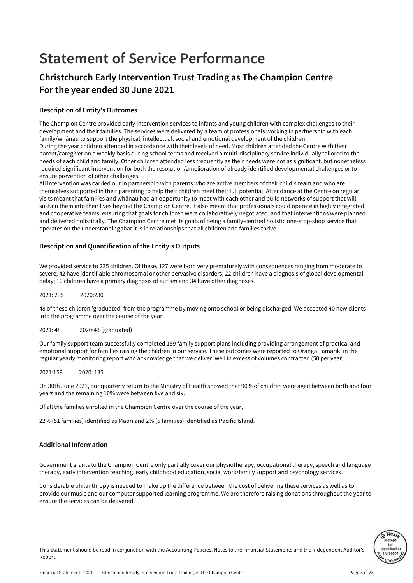## **Statement of Service Performance**

### **Christchurch Early Intervention Trust Trading as The Champion Centre For the year ended 30 June 2021**

#### **Description of Entity's Outcomes**

The Champion Centre provided early intervention services to infants and young children with complex challenges to their development and their families. The services were delivered by a team of professionals working in partnership with each family/whānau to support the physical, intellectual, social and emotional development of the children. During the year children attended in accordance with their levels of need. Most children attended the Centre with their parent/caregiver on a weekly basis during school terms and received a multi-disciplinary service individually tailored to the needs of each child and family. Other children attended less frequently as their needs were not as significant, but nonetheless required significant intervention for both the resolution/amelioration of already identified developmental challenges or to ensure prevention of other challenges.

All intervention was carried out in partnership with parents who are active members of their child's team and who are themselves supported in their parenting to help their children meet their full potential. Attendance at the Centre on regular visits meant that families and whānau had an opportunity to meet with each other and build networks of support that will sustain them into their lives beyond the Champion Centre. It also meant that professionals could operate in highly integrated and cooperative teams, ensuring that goals for children were collaboratively negotiated, and that interventions were planned and delivered holistically. The Champion Centre met its goals of being a family-centred holistic one-stop-shop service that operates on the understanding that it is in relationships that all children and families thrive.

#### **Description and Quantification of the Entity's Outputs**

We provided service to 235 children. Of these, 127 were born very prematurely with consequences ranging from moderate to severe; 42 have identifiable chromosomal or other pervasive disorders; 22 children have a diagnosis of global developmental delay; 10 children have a primary diagnosis of autism and 34 have other diagnoses.

 $2021: 235$   $2020:230$ 

48 of these children 'graduated' from the programme by moving onto school or being discharged; We accepted 40 new clients into the programme over the course of the year.

#### 2021: 48 2020:43 (graduated)

Our family support team successfully completed 159 family support plans including providing arrangement of practical and emotional support for families raising the children in our service. These outcomes were reported to Oranga Tamariki in the regular yearly monitoring report who acknowledge that we deliver 'well in excess of volumes contracted (50 per year).

2021:159 2020: 135

On 30th June 2021, our quarterly return to the Ministry of Health showed that 90% of children were aged between birth and four years and the remaining 10% were between five and six.

Of all the families enrolled in the Champion Centre over the course of the year,

22% (51 families) identified as Māori and 2% (5 families) identified as Pacific Island.

#### **Additional Information**

Government grants to the Champion Centre only partially cover our physiotherapy, occupational therapy, speech and language therapy, early intervention teaching, early childhood education, social work/family support and psychology services.

Considerable philanthropy is needed to make up the difference between the cost of delivering these services as well as to provide our music and our computer supported learning programme. We are therefore raising donations throughout the year to ensure the services can be delivered.

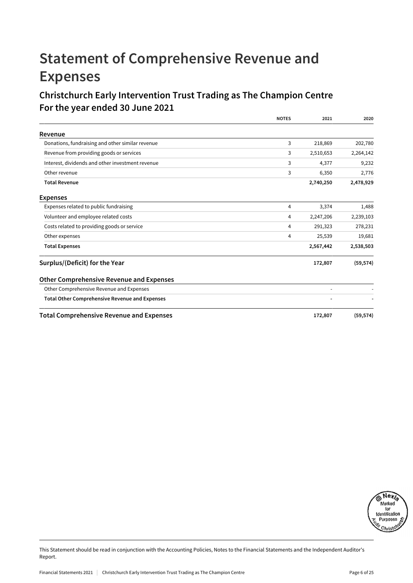## **Statement of Comprehensive Revenue and Expenses**

### **Christchurch Early Intervention Trust Trading as The Champion Centre For the year ended 30 June 2021**

|                                                       | <b>NOTES</b> | 2021      | 2020      |
|-------------------------------------------------------|--------------|-----------|-----------|
| Revenue                                               |              |           |           |
| Donations, fundraising and other similar revenue      | 3            | 218,869   | 202,780   |
| Revenue from providing goods or services              | 3            | 2,510,653 | 2,264,142 |
| Interest, dividends and other investment revenue      | 3            | 4,377     | 9,232     |
| Other revenue                                         | 3            | 6,350     | 2,776     |
| <b>Total Revenue</b>                                  |              | 2,740,250 | 2,478,929 |
| <b>Expenses</b>                                       |              |           |           |
| Expenses related to public fundraising                | 4            | 3,374     | 1,488     |
| Volunteer and employee related costs                  | 4            | 2,247,206 | 2,239,103 |
| Costs related to providing goods or service           | 4            | 291,323   | 278,231   |
| Other expenses                                        | 4            | 25,539    | 19,681    |
| <b>Total Expenses</b>                                 |              | 2,567,442 | 2,538,503 |
| Surplus/(Deficit) for the Year                        |              | 172,807   | (59, 574) |
| <b>Other Comprehensive Revenue and Expenses</b>       |              |           |           |
| Other Comprehensive Revenue and Expenses              |              |           |           |
| <b>Total Other Comprehensive Revenue and Expenses</b> |              |           |           |
| <b>Total Comprehensive Revenue and Expenses</b>       |              | 172,807   | (59, 574) |

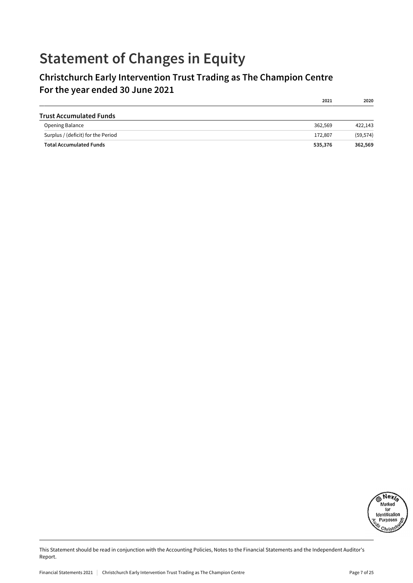## **Statement of Changes in Equity**

## **Christchurch Early Intervention Trust Trading as The Champion Centre For the year ended 30 June 2021**

|                                    | 2021    | 2020      |
|------------------------------------|---------|-----------|
| <b>Trust Accumulated Funds</b>     |         |           |
| <b>Opening Balance</b>             | 362.569 | 422.143   |
| Surplus / (deficit) for the Period | 172,807 | (59, 574) |
| <b>Total Accumulated Funds</b>     | 535,376 | 362,569   |

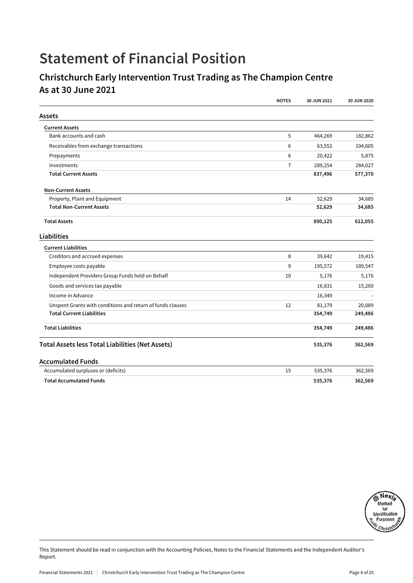## **Statement of Financial Position**

### **Christchurch Early Intervention Trust Trading as The Champion Centre As at 30 June 2021**

|                                                            | <b>NOTES</b>   | 30 JUN 2021 | 30 JUN 2020 |
|------------------------------------------------------------|----------------|-------------|-------------|
| Assets                                                     |                |             |             |
| <b>Current Assets</b>                                      |                |             |             |
| Bank accounts and cash                                     | 5              | 464,269     | 182,862     |
| Receivables from exchange transactions                     | 6              | 63,552      | 104,605     |
| Prepayments                                                | 6              | 20,422      | 5,875       |
| Investments                                                | $\overline{7}$ | 289,254     | 284,027     |
| <b>Total Current Assets</b>                                |                | 837,496     | 577,370     |
| <b>Non-Current Assets</b>                                  |                |             |             |
| Property, Plant and Equipment                              | 14             | 52,629      | 34,685      |
| <b>Total Non-Current Assets</b>                            |                | 52,629      | 34,685      |
| <b>Total Assets</b>                                        |                | 890,125     | 612,055     |
| Liabilities                                                |                |             |             |
| <b>Current Liabilities</b>                                 |                |             |             |
| Creditors and accrued expenses                             | 8              | 39,642      | 19,415      |
| Employee costs payable                                     | 9              | 195,572     | 189,547     |
| Independent Providers Group Funds held on Behalf           | 10             | 5,176       | 5,176       |
| Goods and services tax payable                             |                | 16,831      | 15,260      |
| Income in Advance                                          |                | 16,349      |             |
| Unspent Grants with conditions and return of funds clauses | 12             | 81,179      | 20,089      |
| <b>Total Current Liabilities</b>                           |                | 354,749     | 249,486     |
| <b>Total Liabilities</b>                                   |                | 354,749     | 249,486     |
| <b>Total Assets less Total Liabilities (Net Assets)</b>    |                | 535,376     | 362,569     |
| <b>Accumulated Funds</b>                                   |                |             |             |
| Accumulated surpluses or (deficits)                        | 15             | 535,376     | 362,569     |
| <b>Total Accumulated Funds</b>                             |                | 535,376     | 362,569     |

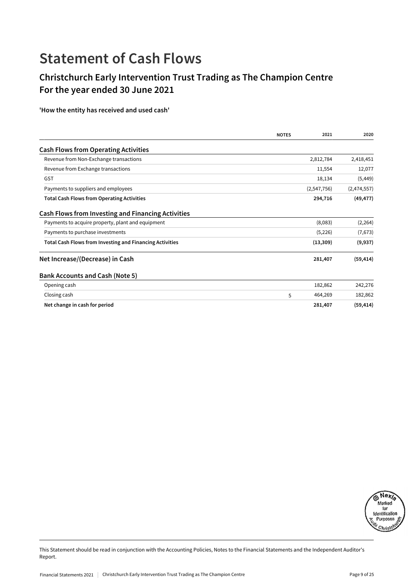## **Statement of Cash Flows**

## **Christchurch Early Intervention Trust Trading as The Champion Centre For the year ended 30 June 2021**

#### **'How the entity has received and used cash'**

|                                                                 | <b>NOTES</b> | 2021        | 2020        |
|-----------------------------------------------------------------|--------------|-------------|-------------|
| <b>Cash Flows from Operating Activities</b>                     |              |             |             |
| Revenue from Non-Exchange transactions                          |              | 2,812,784   | 2,418,451   |
| Revenue from Exchange transactions                              |              | 11,554      | 12,077      |
| <b>GST</b>                                                      |              | 18,134      | (5, 449)    |
| Payments to suppliers and employees                             |              | (2,547,756) | (2,474,557) |
| <b>Total Cash Flows from Operating Activities</b>               |              | 294,716     | (49, 477)   |
| Cash Flows from Investing and Financing Activities              |              |             |             |
| Payments to acquire property, plant and equipment               |              | (8,083)     | (2, 264)    |
| Payments to purchase investments                                |              | (5,226)     | (7,673)     |
| <b>Total Cash Flows from Investing and Financing Activities</b> |              | (13, 309)   | (9,937)     |
| Net Increase/(Decrease) in Cash                                 |              | 281,407     | (59, 414)   |
| <b>Bank Accounts and Cash (Note 5)</b>                          |              |             |             |
| Opening cash                                                    |              | 182,862     | 242,276     |
| Closing cash                                                    | 5            | 464,269     | 182,862     |
| Net change in cash for period                                   |              | 281,407     | (59, 414)   |

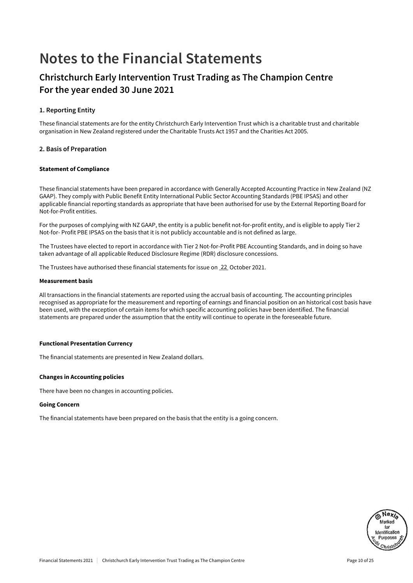## **Notes to the Financial Statements**

### **Christchurch Early Intervention Trust Trading as The Champion Centre For the year ended 30 June 2021**

#### **1. Reporting Entity**

These financial statements are for the entity Christchurch Early Intervention Trust which is a charitable trust and charitable organisation in New Zealand registered under the Charitable Trusts Act 1957 and the Charities Act 2005.

#### **2. Basis of Preparation**

#### Statement of Compliance

These financial statements have been prepared in accordance with Generally Accepted Accounting Practice in New Zealand (NZ GAAP). They comply with Public Benefit Entity International Public Sector Accounting Standards (PBE IPSAS) and other applicable financial reporting standards as appropriate that have been authorised for use by the External Reporting Board for Not-for-Profit entities.

For the purposes of complying with NZ GAAP, the entity is a public benefit not-for-profit entity, and is eligible to apply Tier 2 Not-for- Profit PBE IPSAS on the basis that it is not publicly accountable and is not defined as large.

The Trustees have elected to report in accordance with Tier 2 Not-for-Profit PBE Accounting Standards, and in doing so have taken advantage of all applicable Reduced Disclosure Regime (RDR) disclosure concessions.

The Trustees have authorised these financial statements for issue on 22 October 2021.

#### Measurement basis

All transactions in the financial statements are reported using the accrual basis of accounting. The accounting principles recognised as appropriate for the measurement and reporting of earnings and financial position on an historical cost basis have been used, with the exception of certain items for which specific accounting policies have been identified. The financial statements are prepared under the assumption that the entity will continue to operate in the foreseeable future.

#### Functional Presentation Currency

The financial statements are presented in New Zealand dollars.

#### Changes in Accounting policies

There have been no changes in accounting policies.

#### Going Concern

The financial statements have been prepared on the basis that the entity is a going concern.

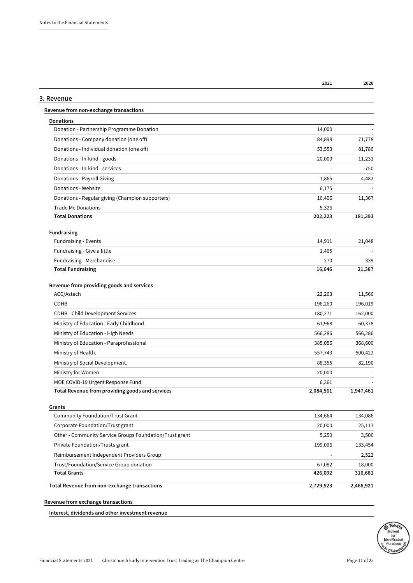| 2021 | 2020 |
|------|------|
|      |      |

### **3. Revenue Revenue from non-exchange transactions Donations** Donation - Partnership Programme Donation 14,000 - 14,000 Donations - Company donation (one off) 84,898 71,778 Donations - Individual donation (one off) 53,553 81,786 Donations - In-kind - goods 20,000 11,231 Donations - In-kind - services - 750 Donations - Payroll Giving 1,865 4,482 Donations - Website 6,175 - 6,175 - 6,175 - 6,175 - 6,175 - 6,175 - 6,175 - 6,175 - 6,175 - 6,175 - 6,175 - 6,175 - 6,175 - 6,175 - 6,175 - 6,175 - 6,175 - 6,175 - 6,175 - 6,175 - 6,175 - 6,175 - 6,175 - 6,175 - 6,175 - 6, Donations - Regular giving (Champion supporters) 16,406 11,367 Trade Me Donations 5,326 **Total Donations 202,223 181,393 Fundraising** Fundraising - Events 14,911 21,048 Fundraising - Give a little 1,465 - 1,465 - 1,465 - 1,465 - 1,465 - 1,465 - 1,465 - 1,465 - 1,465 - 1,465 - 1,465 - 1,465 - 1,465 - 1,465 - 1,465 - 1,465 - 1,465 - 1,465 - 1,467 - 1,467 - 1,467 - 1,467 - 1,467 - 1,467 - 1, Fundraising - Merchandise 270 339 **Total Fundraising 16,646 21,387 Revenue from providing goods and services** ACC/Astech 22,263 11,566 CDHB 196,260 196,019 CDHB - Child Development Services 180,271 162,000 Ministry of Education - Early Childhood 60,378 60,378 60,378 60,378 60,378 61,968 61,968 60,378 Ministry of Education - High Needs 566,286 566,286 566,286 566,286 566,286 566,286 566,286 566,286 566,286 566,286 566,286 566,286 566,286 566,286 566,286 566,286 566,286 566,286 566,286 566,286 566,286 566,286 566,286 566 Ministry of Education - Paraprofessional 385,056 368,600 368,600 Ministry of Health. 557,743 500,422 Ministry of Social Development. **88,355** 82,190 Ministry for Women 20,000 and the United States of the United States of the United States of the United States of the United States of the United States of the United States of the United States of the United States of the MOE COVID-19 Urgent Response Fund 6,361 - 6,361 - 6,361 - 6,361 - 6,361 - 6,361 - 6,361 - 6,361 - 6,361 - 6,361 - 6,576 - 6,576 - 6,576 - 6,576 - 6,576 - 6,576 - 6,576 - 6,576 - 6,576 - 6,576 - 6,576 - 6,576 - 6,576 - 6,57 **Total Revenue from providing goods and services 2,084,561 1,947,461 Grants** Community Foundation/Trust Grant 134,086 134,086 134,086 134,086 134,086 134,086 Corporate Foundation/Trust grant 20,000 25,113 Other - Community Service Groups Foundation/Trust grant 5,250 5,250 3,506 Private Foundation/Trusts grant 199,096 133,454 Reimbursement Independent Providers Group - 2,522 Trust/Foundation/Service Group donation 67,082 18,000 **Total Grants 426,092 316,681 Total Revenue from non-exchange transactions 2,729,523 2,466,921**

**Revenue from exchange transactions**

**Interest, dividends and other investment revenue**

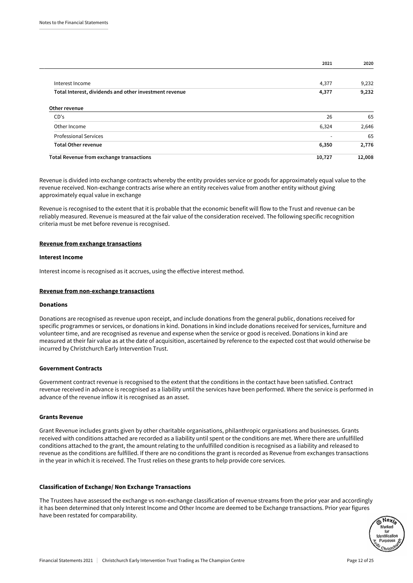|                                                        | 2021   | 2020   |
|--------------------------------------------------------|--------|--------|
| Interest Income                                        | 4,377  | 9,232  |
| Total Interest, dividends and other investment revenue | 4,377  | 9,232  |
| Other revenue                                          |        |        |
| CD's                                                   | 26     | 65     |
| Other Income                                           | 6,324  | 2,646  |
| <b>Professional Services</b>                           |        | 65     |
| <b>Total Other revenue</b>                             | 6,350  | 2,776  |
| Total Revenue from exchange transactions               | 10,727 | 12,008 |

Revenue is divided into exchange contracts whereby the entity provides service or goods for approximately equal value to the revenue received. Non-exchange contracts arise where an entity receives value from another entity without giving approximately equal value in exchange

Revenue is recognised to the extent that it is probable that the economic benefit will flow to the Trust and revenue can be reliably measured. Revenue is measured at the fair value of the consideration received. The following specific recognition criteria must be met before revenue is recognised.

#### Revenue from exchange transactions

#### Interest Income

Interest income is recognised as it accrues, using the effective interest method.

#### Revenue from non-exchange transactions

#### Donations

Donations are recognised as revenue upon receipt, and include donations from the general public, donations received for specific programmes or services, or donations in kind. Donations in kind include donations received for services, furniture and volunteer time, and are recognised as revenue and expense when the service or good is received. Donations in kind are measured at their fair value as at the date of acquisition, ascertained by reference to the expected cost that would otherwise be incurred by Christchurch Early Intervention Trust.

#### Government Contracts

Government contract revenue is recognised to the extent that the conditions in the contact have been satisfied. Contract revenue received in advance is recognised as a liability until the services have been performed. Where the service is performed in advance of the revenue inflow it is recognised as an asset.

#### Grants Revenue

Grant Revenue includes grants given by other charitable organisations, philanthropic organisations and businesses. Grants received with conditions attached are recorded as a liability until spent or the conditions are met. Where there are unfulfilled conditions attached to the grant, the amount relating to the unfulfilled condition is recognised as a liability and released to revenue as the conditions are fulfilled. If there are no conditions the grant is recorded as Revenue from exchanges transactions in the year in which it is received. The Trust relies on these grants to help provide core services.

#### Classification of Exchange/ Non Exchange Transactions

The Trustees have assessed the exchange vs non-exchange classification of revenue streams from the prior year and accordingly it has been determined that only Interest Income and Other Income are deemed to be Exchange transactions. Prior year figures have been restated for comparability.

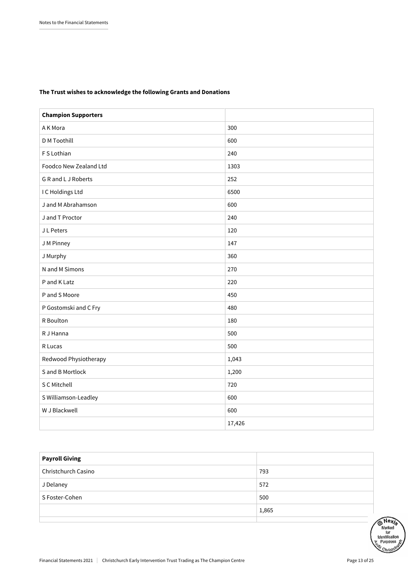#### The Trust wishes to acknowledge the following Grants and Donations

| <b>Champion Supporters</b> |        |
|----------------------------|--------|
| A K Mora                   | 300    |
| <b>D</b> M Toothill        | 600    |
| F S Lothian                | 240    |
| Foodco New Zealand Ltd     | 1303   |
| G R and L J Roberts        | 252    |
| I C Holdings Ltd           | 6500   |
| J and M Abrahamson         | 600    |
| J and T Proctor            | 240    |
| J L Peters                 | 120    |
| J M Pinney                 | 147    |
| J Murphy                   | 360    |
| N and M Simons             | 270    |
| P and K Latz               | 220    |
| P and S Moore              | 450    |
| P Gostomski and C Fry      | 480    |
| R Boulton                  | 180    |
| R J Hanna                  | 500    |
| R Lucas                    | 500    |
| Redwood Physiotherapy      | 1,043  |
| S and B Mortlock           | 1,200  |
| S C Mitchell               | 720    |
| S Williamson-Leadley       | 600    |
| W J Blackwell              | 600    |
|                            | 17,426 |

| <b>Payroll Giving</b> |       |
|-----------------------|-------|
| Christchurch Casino   | 793   |
| J Delaney             | 572   |
| S Foster-Cohen        | 500   |
|                       | 1,865 |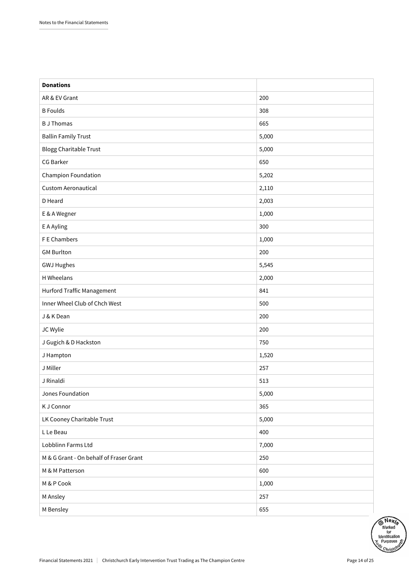| <b>Donations</b>                        |       |
|-----------------------------------------|-------|
| AR & EV Grant                           | 200   |
| <b>B</b> Foulds                         | 308   |
| <b>B</b> J Thomas                       | 665   |
| <b>Ballin Family Trust</b>              | 5,000 |
| <b>Blogg Charitable Trust</b>           | 5,000 |
| CG Barker                               | 650   |
| Champion Foundation                     | 5,202 |
| Custom Aeronautical                     | 2,110 |
| D Heard                                 | 2,003 |
| E & A Wegner                            | 1,000 |
| E A Ayling                              | 300   |
| F E Chambers                            | 1,000 |
| <b>GM Burlton</b>                       | 200   |
| <b>GWJ Hughes</b>                       | 5,545 |
| H Wheelans                              | 2,000 |
| Hurford Traffic Management              | 841   |
| Inner Wheel Club of Chch West           | 500   |
| J & K Dean                              | 200   |
| JC Wylie                                | 200   |
| J Gugich & D Hackston                   | 750   |
| J Hampton                               | 1,520 |
| J Miller                                | 257   |
| J Rinaldi                               | 513   |
| Jones Foundation                        | 5,000 |
| K J Connor                              | 365   |
| LK Cooney Charitable Trust              | 5,000 |
| L Le Beau                               | 400   |
| Lobblinn Farms Ltd                      | 7,000 |
| M & G Grant - On behalf of Fraser Grant | 250   |
| M & M Patterson                         | 600   |
| M & P Cook                              | 1,000 |
| M Ansley                                | 257   |
| M Bensley                               | 655   |

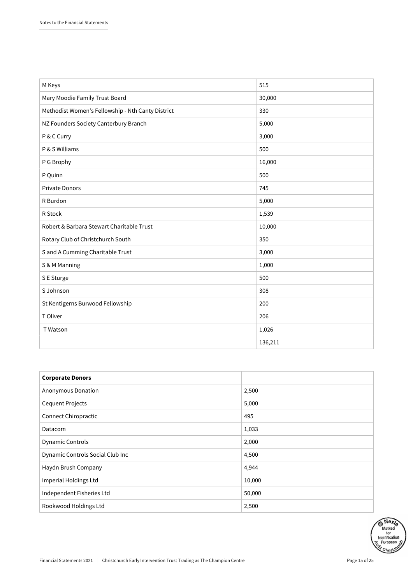| M Keys                                            | 515     |
|---------------------------------------------------|---------|
| Mary Moodie Family Trust Board                    | 30,000  |
| Methodist Women's Fellowship - Nth Canty District | 330     |
| NZ Founders Society Canterbury Branch             | 5,000   |
| P & C Curry                                       | 3,000   |
| P & S Williams                                    | 500     |
| P G Brophy                                        | 16,000  |
| P Quinn                                           | 500     |
| <b>Private Donors</b>                             | 745     |
| R Burdon                                          | 5,000   |
| R Stock                                           | 1,539   |
| Robert & Barbara Stewart Charitable Trust         | 10,000  |
| Rotary Club of Christchurch South                 | 350     |
| S and A Cumming Charitable Trust                  | 3,000   |
| S & M Manning                                     | 1,000   |
| S E Sturge                                        | 500     |
| S Johnson                                         | 308     |
| St Kentigerns Burwood Fellowship                  | 200     |
| T Oliver                                          | 206     |
| T Watson                                          | 1,026   |
|                                                   | 136,211 |

| <b>Corporate Donors</b>          |        |
|----------------------------------|--------|
| Anonymous Donation               | 2,500  |
| <b>Cequent Projects</b>          | 5,000  |
| Connect Chiropractic             | 495    |
| Datacom                          | 1,033  |
| <b>Dynamic Controls</b>          | 2,000  |
| Dynamic Controls Social Club Inc | 4,500  |
| Haydn Brush Company              | 4,944  |
| Imperial Holdings Ltd            | 10,000 |
| Independent Fisheries Ltd        | 50,000 |
| Rookwood Holdings Ltd            | 2,500  |

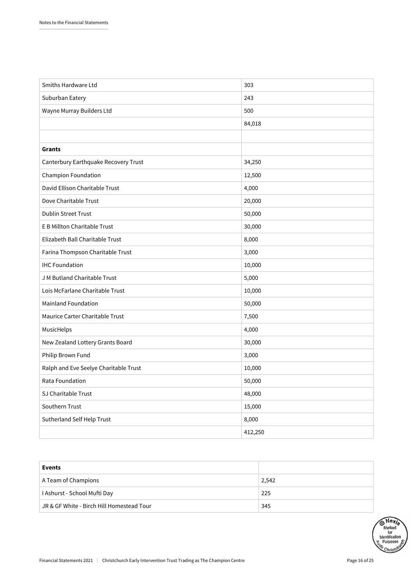| Smiths Hardware Ltd                   | 303     |
|---------------------------------------|---------|
| Suburban Eatery                       | 243     |
| Wayne Murray Builders Ltd             | 500     |
|                                       | 84,018  |
|                                       |         |
| Grants                                |         |
| Canterbury Earthquake Recovery Trust  | 34,250  |
| Champion Foundation                   | 12,500  |
| David Ellison Charitable Trust        | 4,000   |
| Dove Charitable Trust                 | 20,000  |
| <b>Dublin Street Trust</b>            | 50,000  |
| E B Millton Charitable Trust          | 30,000  |
| Elizabeth Ball Charitable Trust       | 8,000   |
| Farina Thompson Charitable Trust      | 3,000   |
| <b>IHC Foundation</b>                 | 10,000  |
| J M Butland Charitable Trust          | 5,000   |
| Lois McFarlane Charitable Trust       | 10,000  |
| <b>Mainland Foundation</b>            | 50,000  |
| Maurice Carter Charitable Trust       | 7,500   |
| MusicHelps                            | 4,000   |
| New Zealand Lottery Grants Board      | 30,000  |
| Philip Brown Fund                     | 3,000   |
| Ralph and Eve Seelye Charitable Trust | 10,000  |
| Rata Foundation                       | 50,000  |
| SJ Charitable Trust                   | 48,000  |
| Southern Trust                        | 15,000  |
| Sutherland Self Help Trust            | 8,000   |
|                                       | 412,250 |

| Events                                    |       |
|-------------------------------------------|-------|
| A Team of Champions                       | 2,542 |
| I Ashurst - School Mufti Day              | 225   |
| JR & GF White - Birch Hill Homestead Tour | 345   |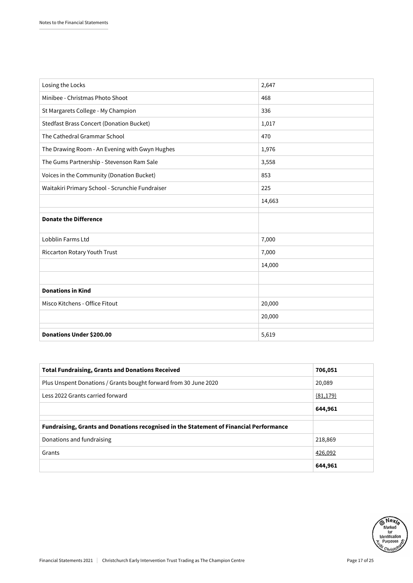| Losing the Locks                                | 2,647  |
|-------------------------------------------------|--------|
| Minibee - Christmas Photo Shoot                 | 468    |
| St Margarets College - My Champion              | 336    |
| <b>Stedfast Brass Concert (Donation Bucket)</b> | 1,017  |
| The Cathedral Grammar School                    | 470    |
| The Drawing Room - An Evening with Gwyn Hughes  | 1,976  |
| The Gums Partnership - Stevenson Ram Sale       | 3,558  |
| Voices in the Community (Donation Bucket)       | 853    |
| Waitakiri Primary School - Scrunchie Fundraiser | 225    |
|                                                 | 14,663 |
|                                                 |        |
| <b>Donate the Difference</b>                    |        |
| Lobblin Farms Ltd                               | 7,000  |
| Riccarton Rotary Youth Trust                    | 7,000  |
|                                                 | 14,000 |
|                                                 |        |
| <b>Donations in Kind</b>                        |        |
| Misco Kitchens - Office Fitout                  | 20,000 |
|                                                 | 20,000 |
|                                                 |        |
| Donations Under \$200.00                        | 5,619  |

| <b>Total Fundraising, Grants and Donations Received</b>                                | 706,051   |
|----------------------------------------------------------------------------------------|-----------|
| Plus Unspent Donations / Grants bought forward from 30 June 2020                       | 20,089    |
| Less 2022 Grants carried forward                                                       | (81, 179) |
|                                                                                        | 644,961   |
|                                                                                        |           |
| Fundraising, Grants and Donations recognised in the Statement of Financial Performance |           |
| Donations and fundraising                                                              | 218,869   |
| Grants                                                                                 | 426,092   |
|                                                                                        | 644,961   |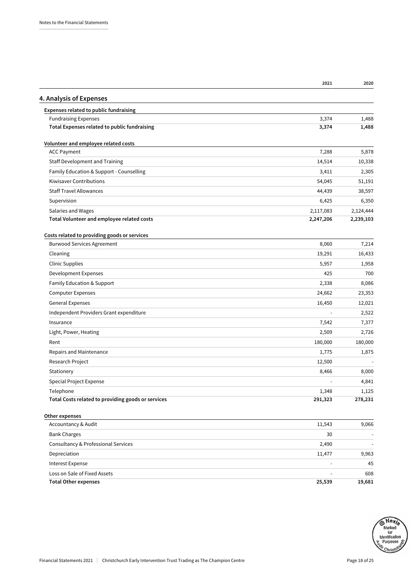|                                                    | 2021      | 2020      |
|----------------------------------------------------|-----------|-----------|
| 4. Analysis of Expenses                            |           |           |
| Expenses related to public fundraising             |           |           |
| <b>Fundraising Expenses</b>                        | 3,374     | 1,488     |
| Total Expenses related to public fundraising       | 3,374     | 1,488     |
| Volunteer and employee related costs               |           |           |
| <b>ACC Payment</b>                                 | 7,288     | 5,878     |
| <b>Staff Development and Training</b>              | 14,514    | 10,338    |
| Family Education & Support - Counselling           | 3,411     | 2,305     |
| <b>Kiwisaver Contributions</b>                     | 54,045    | 51,191    |
| <b>Staff Travel Allowances</b>                     | 44,439    | 38,597    |
| Supervision                                        | 6,425     | 6,350     |
| Salaries and Wages                                 | 2,117,083 | 2,124,444 |
| Total Volunteer and employee related costs         | 2,247,206 | 2,239,103 |
| Costs related to providing goods or services       |           |           |
| <b>Burwood Services Agreement</b>                  | 8,060     | 7,214     |
| Cleaning                                           | 19,291    | 16,433    |
| <b>Clinic Supplies</b>                             | 5,957     | 1,958     |
| Development Expenses                               | 425       | 700       |
| Family Education & Support                         | 2,338     | 8,086     |
| <b>Computer Expenses</b>                           | 24,662    | 23,353    |
| <b>General Expenses</b>                            | 16,450    | 12,021    |
| Independent Providers Grant expenditure            |           | 2,522     |
| Insurance                                          | 7,542     | 7,377     |
| Light, Power, Heating                              | 2,509     | 2,726     |
| Rent                                               | 180,000   | 180,000   |
| Repairs and Maintenance                            | 1,775     | 1,875     |
| Research Project                                   | 12,500    |           |
| Stationery                                         | 8,466     | 8,000     |
| Special Project Expense                            |           | 4,841     |
| Telephone                                          | 1,348     | 1,125     |
| Total Costs related to providing goods or services | 291,323   | 278,231   |
| Other expenses                                     |           |           |
| Accountancy & Audit                                | 11,543    | 9,066     |
| <b>Bank Charges</b>                                | 30        |           |
| Consultancy & Professional Services                | 2,490     |           |
| Depreciation                                       | 11,477    | 9,963     |
| Interest Expense                                   |           | 45        |
| Loss on Sale of Fixed Assets                       |           | 608       |
| <b>Total Other expenses</b>                        | 25,539    | 19,681    |





Financial Statements 2021 | Christchurch Early Intervention Trust Trading as The Champion Centre Page 18 of 25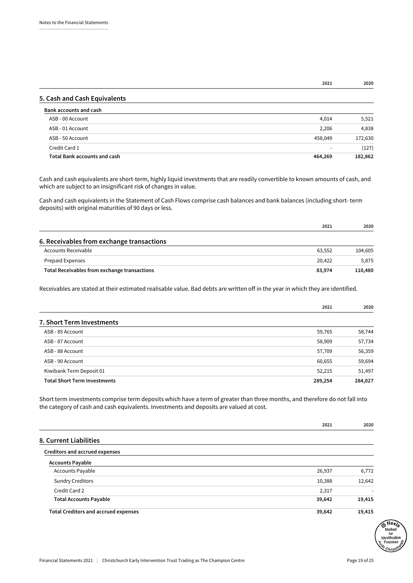**2021 2020**

#### **5. Cash and Cash Equivalents**

| Bank accounts and cash              |                          |         |
|-------------------------------------|--------------------------|---------|
| ASB - 00 Account                    | 4,014                    | 5,521   |
| ASB - 01 Account                    | 2,206                    | 4,838   |
| ASB - 50 Account                    | 458,049                  | 172,630 |
| Credit Card 1                       | $\overline{\phantom{0}}$ | (127)   |
| <b>Total Bank accounts and cash</b> | 464,269                  | 182,862 |

Cash and cash equivalents are short-term, highly liquid investments that are readily convertible to known amounts of cash, and which are subject to an insignificant risk of changes in value.

Cash and cash equivalents in the Statement of Cash Flows comprise cash balances and bank balances (including short- term deposits) with original maturities of 90 days or less.

|                                              | 2021   | 2020    |
|----------------------------------------------|--------|---------|
| 6. Receivables from exchange transactions    |        |         |
| Accounts Receivable                          | 63.552 | 104.605 |
| <b>Prepaid Expenses</b>                      | 20.422 | 5.875   |
| Total Receivables from exchange transactions | 83,974 | 110.480 |

Receivables are stated at their estimated realisable value. Bad debts are written off in the year in which they are identified.

|                                     | 2021    | 2020    |
|-------------------------------------|---------|---------|
| <b>7. Short Term Investments</b>    |         |         |
| ASB - 85 Account                    | 59,765  | 58,744  |
| ASB - 87 Account                    | 58,909  | 57,734  |
| ASB - 88 Account                    | 57,709  | 56,359  |
| ASB - 90 Account                    | 60,655  | 59,694  |
| Kiwibank Term Deposit 01            | 52,215  | 51,497  |
| <b>Total Short Term Investments</b> | 289,254 | 284,027 |

Short term investments comprise term deposits which have a term of greater than three months, and therefore do not fall into the category of cash and cash equivalents. Investments and deposits are valued at cost.

|                                             | 2021   | 2020   |
|---------------------------------------------|--------|--------|
| 8. Current Liabilities                      |        |        |
| Creditors and accrued expenses              |        |        |
| <b>Accounts Payable</b>                     |        |        |
| <b>Accounts Payable</b>                     | 26,937 | 6,772  |
| <b>Sundry Creditors</b>                     | 10,388 | 12,642 |
| Credit Card 2                               | 2,317  |        |
| <b>Total Accounts Payable</b>               | 39,642 | 19,415 |
| <b>Total Creditors and accrued expenses</b> | 39,642 | 19,415 |

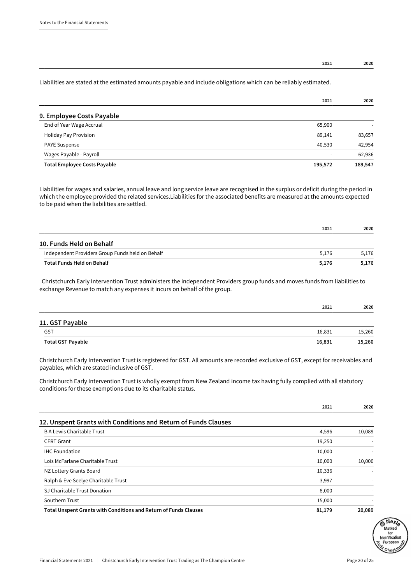#### **2021 2020**

#### Liabilities are stated at the estimated amounts payable and include obligations which can be reliably estimated.

|                                     | 2021    | 2020    |
|-------------------------------------|---------|---------|
| 9. Employee Costs Payable           |         |         |
| End of Year Wage Accrual            | 65,900  |         |
| <b>Holiday Pay Provision</b>        | 89,141  | 83,657  |
| <b>PAYE Suspense</b>                | 40,530  | 42,954  |
| Wages Payable - Payroll             | -       | 62,936  |
| <b>Total Employee Costs Payable</b> | 195,572 | 189,547 |

Liabilities for wages and salaries, annual leave and long service leave are recognised in the surplus or deficit during the period in which the employee provided the related services.Liabilities for the associated benefits are measured at the amounts expected to be paid when the liabilities are settled.

|                                                  | 2021  | 2020  |
|--------------------------------------------------|-------|-------|
| 10. Funds Held on Behalf                         |       |       |
| Independent Providers Group Funds held on Behalf | 5.176 | 5.176 |
| <b>Total Funds Held on Behalf</b>                | 5.176 | 5.176 |

 Christchurch Early Intervention Trust administers the independent Providers group funds and moves funds from liabilities to exchange Revenue to match any expenses it incurs on behalf of the group.

|        | 2020   |
|--------|--------|
|        |        |
| 16,831 | 15,260 |
| 16,831 | 15,260 |
|        | 2021   |

Christchurch Early Intervention Trust is registered for GST. All amounts are recorded exclusive of GST, except for receivables and payables, which are stated inclusive of GST.

Christchurch Early Intervention Trust is wholly exempt from New Zealand income tax having fully complied with all statutory conditions for these exemptions due to its charitable status.

|                                                                         | 2021   | 2020   |
|-------------------------------------------------------------------------|--------|--------|
| 12. Unspent Grants with Conditions and Return of Funds Clauses          |        |        |
| <b>BA Lewis Charitable Trust</b>                                        | 4,596  | 10,089 |
| <b>CERT Grant</b>                                                       | 19,250 |        |
| <b>IHC Foundation</b>                                                   | 10,000 |        |
| Lois McFarlane Charitable Trust                                         | 10,000 | 10,000 |
| NZ Lottery Grants Board                                                 | 10,336 |        |
| Ralph & Eve Seelye Charitable Trust                                     | 3,997  |        |
| SJ Charitable Trust Donation                                            | 8,000  |        |
| Southern Trust                                                          | 15,000 |        |
| <b>Total Unspent Grants with Conditions and Return of Funds Clauses</b> | 81,179 | 20,089 |

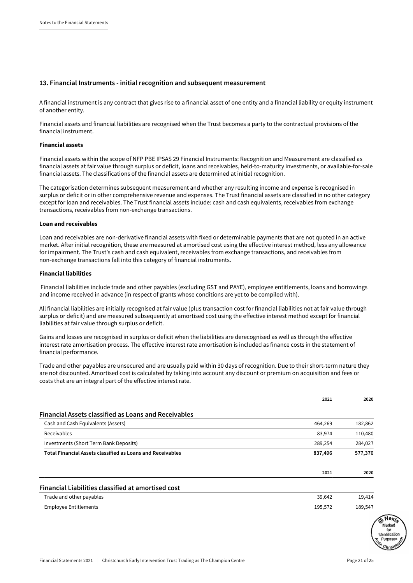#### **13. Financial Instruments - initial recognition and subsequent measurement**

A financial instrument is any contract that gives rise to a financial asset of one entity and a financial liability or equity instrument of another entity.

Financial assets and financial liabilities are recognised when the Trust becomes a party to the contractual provisions of the financial instrument.

#### Financial assets

Financial assets within the scope of NFP PBE IPSAS 29 Financial Instruments: Recognition and Measurement are classified as financial assets at fair value through surplus or deficit, loans and receivables, held-to-maturity investments, or available-for-sale financial assets. The classifications of the financial assets are determined at initial recognition.

The categorisation determines subsequent measurement and whether any resulting income and expense is recognised in surplus or deficit or in other comprehensive revenue and expenses. The Trust financial assets are classified in no other category except for loan and receivables. The Trust financial assets include: cash and cash equivalents, receivables from exchange transactions, receivables from non-exchange transactions.

#### Loan and receivables

Loan and receivables are non-derivative financial assets with fixed or determinable payments that are not quoted in an active market. After initial recognition, these are measured at amortised cost using the effective interest method, less any allowance for impairment. The Trust's cash and cash equivalent, receivables from exchange transactions, and receivables from non-exchange transactions fall into this category of financial instruments.

#### Financial liabilities

 Financial liabilities include trade and other payables (excluding GST and PAYE), employee entitlements, loans and borrowings and income received in advance (in respect of grants whose conditions are yet to be compiled with).

All financial liabilities are initially recognised at fair value (plus transaction cost for financial liabilities not at fair value through surplus or deficit) and are measured subsequently at amortised cost using the effective interest method except for financial liabilities at fair value through surplus or deficit.

Gains and losses are recognised in surplus or deficit when the liabilities are derecognised as well as through the effective interest rate amortisation process. The effective interest rate amortisation is included as finance costs in the statement of financial performance.

Trade and other payables are unsecured and are usually paid within 30 days of recognition. Due to their short-term nature they are not discounted. Amortised cost is calculated by taking into account any discount or premium on acquisition and fees or costs that are an integral part of the effective interest rate.

|                                                                   | 2021    | 2020    |
|-------------------------------------------------------------------|---------|---------|
| <b>Financial Assets classified as Loans and Receivables</b>       |         |         |
| Cash and Cash Equivalents (Assets)                                | 464,269 | 182,862 |
| Receivables                                                       | 83,974  | 110,480 |
| Investments (Short Term Bank Deposits)                            | 289,254 | 284,027 |
| <b>Total Financial Assets classified as Loans and Receivables</b> | 837,496 | 577,370 |
|                                                                   | 2021    | 2020    |
| Financial Liabilities classified at amortised cost                |         |         |
| Trade and other payables                                          | 39,642  | 19,414  |
| <b>Employee Entitlements</b>                                      | 195,572 | 189,547 |

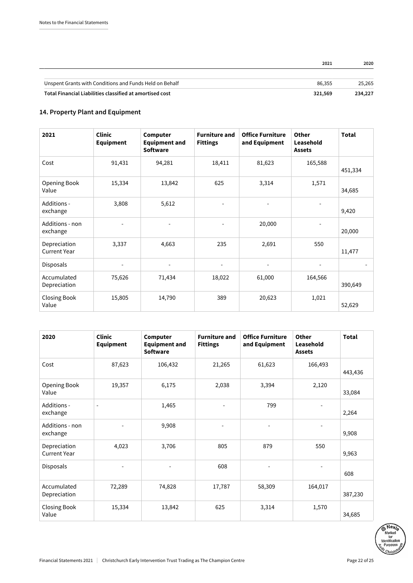|                                                          | 2021    | 2020    |
|----------------------------------------------------------|---------|---------|
|                                                          |         |         |
| Unspent Grants with Conditions and Funds Held on Behalf  | 86.355  | 25.265  |
| Total Financial Liabilities classified at amortised cost | 321,569 | 234,227 |

### **14. Property Plant and Equipment**

| 2021                                | <b>Clinic</b><br><b>Equipment</b> | Computer<br><b>Equipment and</b><br><b>Software</b> | <b>Furniture and</b><br><b>Fittings</b> | <b>Office Furniture</b><br>and Equipment | Other<br>Leasehold<br><b>Assets</b> | <b>Total</b> |
|-------------------------------------|-----------------------------------|-----------------------------------------------------|-----------------------------------------|------------------------------------------|-------------------------------------|--------------|
| Cost                                | 91,431                            | 94,281                                              | 18,411                                  | 81,623                                   | 165,588                             | 451,334      |
| Opening Book<br>Value               | 15,334                            | 13,842                                              | 625                                     | 3,314                                    | 1,571                               | 34,685       |
| Additions -<br>exchange             | 3,808                             | 5,612                                               |                                         |                                          |                                     | 9,420        |
| Additions - non<br>exchange         | $\overline{a}$                    |                                                     | ÷.                                      | 20,000                                   |                                     | 20,000       |
| Depreciation<br><b>Current Year</b> | 3,337                             | 4,663                                               | 235                                     | 2,691                                    | 550                                 | 11,477       |
| <b>Disposals</b>                    | $\overline{\phantom{a}}$          | $\overline{\phantom{a}}$                            |                                         | ÷                                        |                                     |              |
| Accumulated<br>Depreciation         | 75,626                            | 71,434                                              | 18,022                                  | 61,000                                   | 164,566                             | 390,649      |
| Closing Book<br>Value               | 15,805                            | 14,790                                              | 389                                     | 20,623                                   | 1,021                               | 52,629       |

| 2020                                | <b>Clinic</b><br><b>Equipment</b> | Computer<br><b>Equipment and</b><br><b>Software</b> | <b>Furniture and</b><br><b>Fittings</b> | <b>Office Furniture</b><br>and Equipment | Other<br>Leasehold<br><b>Assets</b> | <b>Total</b> |
|-------------------------------------|-----------------------------------|-----------------------------------------------------|-----------------------------------------|------------------------------------------|-------------------------------------|--------------|
| Cost                                | 87,623                            | 106,432                                             | 21,265                                  | 61,623                                   | 166,493                             | 443,436      |
| Opening Book<br>Value               | 19,357                            | 6,175                                               | 2,038                                   | 3,394                                    | 2,120                               | 33,084       |
| Additions -<br>exchange             |                                   | 1,465                                               | ٠                                       | 799                                      |                                     | 2,264        |
| Additions - non<br>exchange         |                                   | 9,908                                               |                                         |                                          |                                     | 9,908        |
| Depreciation<br><b>Current Year</b> | 4,023                             | 3,706                                               | 805                                     | 879                                      | 550                                 | 9,963        |
| Disposals                           |                                   |                                                     | 608                                     |                                          |                                     | 608          |
| Accumulated<br>Depreciation         | 72,289                            | 74,828                                              | 17,787                                  | 58,309                                   | 164,017                             | 387,230      |
| Closing Book<br>Value               | 15,334                            | 13,842                                              | 625                                     | 3,314                                    | 1,570                               | 34,685       |

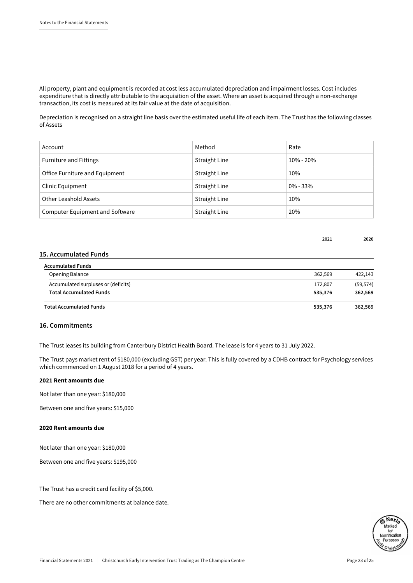All property, plant and equipment is recorded at cost less accumulated depreciation and impairment losses. Cost includes expenditure that is directly attributable to the acquisition of the asset. Where an asset is acquired through a non-exchange transaction, its cost is measured at its fair value at the date of acquisition.

Depreciation is recognised on a straight line basis over the estimated useful life of each item. The Trust has the following classes of Assets

| Account                         | Method               | Rate         |
|---------------------------------|----------------------|--------------|
| <b>Furniture and Fittings</b>   | <b>Straight Line</b> | 10% - 20%    |
| Office Furniture and Equipment  | Straight Line        | 10%          |
| Clinic Equipment                | <b>Straight Line</b> | $0\% - 33\%$ |
| Other Leashold Assets           | <b>Straight Line</b> | 10%          |
| Computer Equipment and Software | Straight Line        | 20%          |

|                                     | 2021    | 2020      |
|-------------------------------------|---------|-----------|
| 15. Accumulated Funds               |         |           |
| <b>Accumulated Funds</b>            |         |           |
| Opening Balance                     | 362,569 | 422,143   |
| Accumulated surpluses or (deficits) | 172,807 | (59, 574) |
| <b>Total Accumulated Funds</b>      | 535,376 | 362,569   |
| <b>Total Accumulated Funds</b>      | 535,376 | 362,569   |

#### **16. Commitments**

The Trust leases its building from Canterbury District Health Board. The lease is for 4 years to 31 July 2022.

The Trust pays market rent of \$180,000 (excluding GST) per year. This is fully covered by a CDHB contract for Psychology services which commenced on 1 August 2018 for a period of 4 years.

#### 2021 Rent amounts due

Not later than one year: \$180,000

Between one and five years: \$15,000

#### 2020 Rent amounts due

Not later than one year: \$180,000

Between one and five years: \$195,000

The Trust has a credit card facility of \$5,000.

There are no other commitments at balance date.

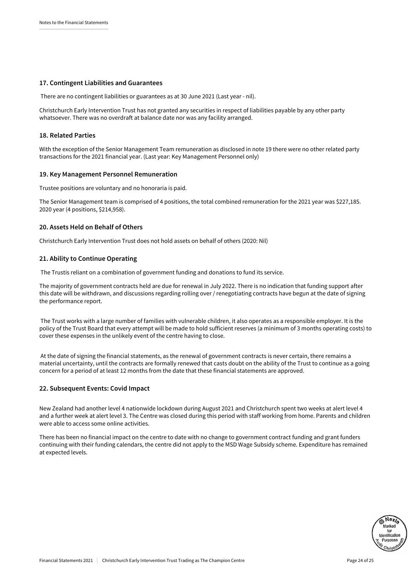#### **17. Contingent Liabilities and Guarantees**

There are no contingent liabilities or guarantees as at 30 June 2021 (Last year - nil).

Christchurch Early Intervention Trust has not granted any securities in respect of liabilities payable by any other party whatsoever. There was no overdraft at balance date nor was any facility arranged.

#### **18. Related Parties**

With the exception of the Senior Management Team remuneration as disclosed in note 19 there were no other related party transactions for the 2021 financial year. (Last year: Key Management Personnel only)

#### **19. Key Management Personnel Remuneration**

Trustee positions are voluntary and no honoraria is paid.

The Senior Management team is comprised of 4 positions, the total combined remuneration for the 2021 year was \$227,185. 2020 year (4 positions, \$214,958).

#### **20. Assets Held on Behalf of Others**

Christchurch Early Intervention Trust does not hold assets on behalf of others (2020: Nil)

#### **21. Ability to Continue Operating**

The Trustis reliant on a combination of government funding and donations to fund its service.

The majority of government contracts held are due for renewal in July 2022. There is no indication that funding support after this date will be withdrawn, and discussions regarding rolling over / renegotiating contracts have begun at the date of signing the performance report.

 The Trust works with a large number of families with vulnerable children, it also operates as a responsible employer. It is the policy of the Trust Board that every attempt will be made to hold sufficient reserves (a minimum of 3 months operating costs) to cover these expenses in the unlikely event of the centre having to close.

 At the date of signing the financial statements, as the renewal of government contracts is never certain, there remains a material uncertainty, until the contracts are formally renewed that casts doubt on the ability of the Trust to continue as a going concern for a period of at least 12 months from the date that these financial statements are approved.

#### **22. Subsequent Events: Covid Impact**

New Zealand had another level 4 nationwide lockdown during August 2021 and Christchurch spent two weeks at alert level 4 and a further week at alert level 3. The Centre was closed during this period with staff working from home. Parents and children were able to access some online activities.

There has been no financial impact on the centre to date with no change to government contract funding and grant funders continuing with their funding calendars, the centre did not apply to the MSD Wage Subsidy scheme. Expenditure has remained at expected levels.

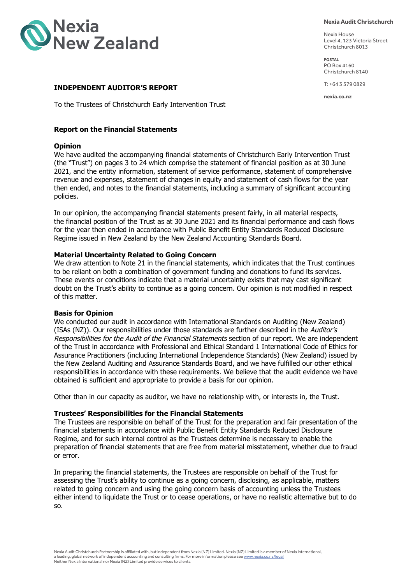

**Nexia Audit Christchurch**

Nexia House Level 4, 123 Victoria Street Christchurch 8013

**POSTAL** PO Box 4160 Christchurch 8140

T: +64 3 379 0829

**nexia.co.nz**

#### **INDEPENDENT AUDITOR'S REPORT**

To the Trustees of Christchurch Early Intervention Trust

#### **Report on the Financial Statements**

#### **Opinion**

We have audited the accompanying financial statements of Christchurch Early Intervention Trust (the "Trust") on pages 3 to 24 which comprise the statement of financial position as at 30 June 2021, and the entity information, statement of service performance, statement of comprehensive revenue and expenses, statement of changes in equity and statement of cash flows for the year then ended, and notes to the financial statements, including a summary of significant accounting policies.

In our opinion, the accompanying financial statements present fairly, in all material respects, the financial position of the Trust as at 30 June 2021 and its financial performance and cash flows for the year then ended in accordance with Public Benefit Entity Standards Reduced Disclosure Regime issued in New Zealand by the New Zealand Accounting Standards Board.

#### **Material Uncertainty Related to Going Concern**

We draw attention to Note 21 in the financial statements, which indicates that the Trust continues to be reliant on both a combination of government funding and donations to fund its services. These events or conditions indicate that a material uncertainty exists that may cast significant doubt on the Trust's ability to continue as a going concern. Our opinion is not modified in respect of this matter.

#### **Basis for Opinion**

We conducted our audit in accordance with International Standards on Auditing (New Zealand) (ISAs (NZ)). Our responsibilities under those standards are further described in the Auditor's Responsibilities for the Audit of the Financial Statements section of our report. We are independent of the Trust in accordance with Professional and Ethical Standard 1 International Code of Ethics for Assurance Practitioners (including International Independence Standards) (New Zealand) issued by the New Zealand Auditing and Assurance Standards Board, and we have fulfilled our other ethical responsibilities in accordance with these requirements. We believe that the audit evidence we have obtained is sufficient and appropriate to provide a basis for our opinion.

Other than in our capacity as auditor, we have no relationship with, or interests in, the Trust.

#### **Trustees' Responsibilities for the Financial Statements**

The Trustees are responsible on behalf of the Trust for the preparation and fair presentation of the financial statements in accordance with Public Benefit Entity Standards Reduced Disclosure Regime, and for such internal control as the Trustees determine is necessary to enable the preparation of financial statements that are free from material misstatement, whether due to fraud or error.

In preparing the financial statements, the Trustees are responsible on behalf of the Trust for assessing the Trust's ability to continue as a going concern, disclosing, as applicable, matters related to going concern and using the going concern basis of accounting unless the Trustees either intend to liquidate the Trust or to cease operations, or have no realistic alternative but to do so.

Nexia Audit Christchurch Partnership is affiliated with, but independent from Nexia (NZ) Limited. Nexia (NZ) Limited is a member of Nexia International, a leading, global network of independent accounting and consulting firms. For more information please see <u>www.nexia.co.nz/legal</u><br>Neither Nexia International nor Nexia (NZ) Limited provide services to clients.